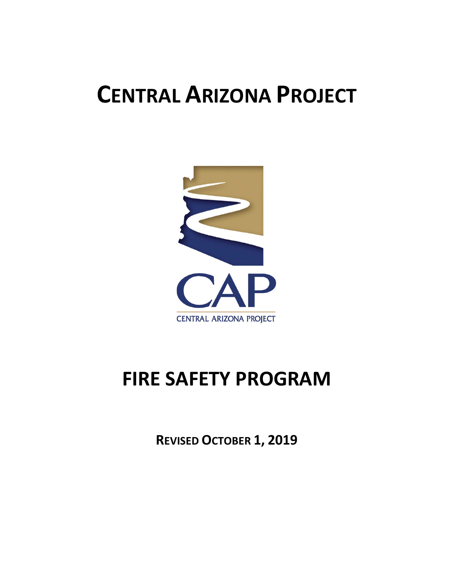# **CENTRAL ARIZONA PROJECT**



# **FIRE SAFETY PROGRAM**

**REVISED OCTOBER 1, 2019**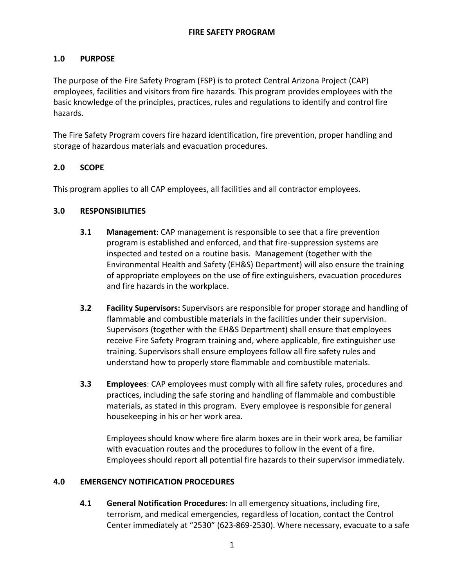# **1.0 PURPOSE**

The purpose of the Fire Safety Program (FSP) is to protect Central Arizona Project (CAP) employees, facilities and visitors from fire hazards. This program provides employees with the basic knowledge of the principles, practices, rules and regulations to identify and control fire hazards.

The Fire Safety Program covers fire hazard identification, fire prevention, proper handling and storage of hazardous materials and evacuation procedures.

# **2.0 SCOPE**

This program applies to all CAP employees, all facilities and all contractor employees.

## **3.0 RESPONSIBILITIES**

- **3.1 Management**: CAP management is responsible to see that a fire prevention program is established and enforced, and that fire-suppression systems are inspected and tested on a routine basis. Management (together with the Environmental Health and Safety (EH&S) Department) will also ensure the training of appropriate employees on the use of fire extinguishers, evacuation procedures and fire hazards in the workplace.
- **3.2 Facility Supervisors:** Supervisors are responsible for proper storage and handling of flammable and combustible materials in the facilities under their supervision. Supervisors (together with the EH&S Department) shall ensure that employees receive Fire Safety Program training and, where applicable, fire extinguisher use training. Supervisors shall ensure employees follow all fire safety rules and understand how to properly store flammable and combustible materials.
- **3.3 Employees**: CAP employees must comply with all fire safety rules, procedures and practices, including the safe storing and handling of flammable and combustible materials, as stated in this program. Every employee is responsible for general housekeeping in his or her work area.

Employees should know where fire alarm boxes are in their work area, be familiar with evacuation routes and the procedures to follow in the event of a fire. Employees should report all potential fire hazards to their supervisor immediately.

#### **4.0 EMERGENCY NOTIFICATION PROCEDURES**

**4.1 General Notification Procedures**: In all emergency situations, including fire, terrorism, and medical emergencies, regardless of location, contact the Control Center immediately at "2530" (623-869-2530). Where necessary, evacuate to a safe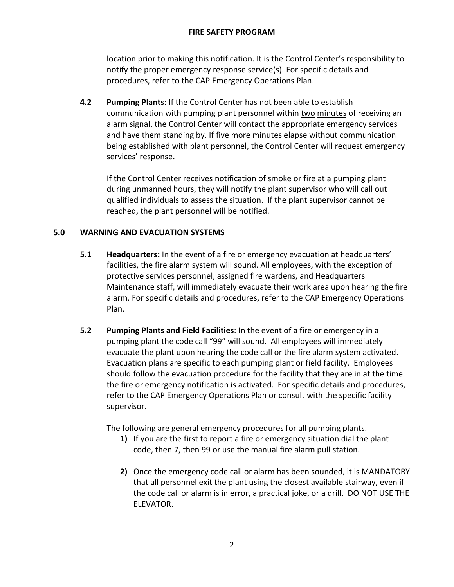location prior to making this notification. It is the Control Center's responsibility to notify the proper emergency response service(s). For specific details and procedures, refer to the CAP Emergency Operations Plan.

**4.2 Pumping Plants**: If the Control Center has not been able to establish communication with pumping plant personnel within two minutes of receiving an alarm signal, the Control Center will contact the appropriate emergency services and have them standing by. If five more minutes elapse without communication being established with plant personnel, the Control Center will request emergency services' response.

If the Control Center receives notification of smoke or fire at a pumping plant during unmanned hours, they will notify the plant supervisor who will call out qualified individuals to assess the situation. If the plant supervisor cannot be reached, the plant personnel will be notified.

# **5.0 WARNING AND EVACUATION SYSTEMS**

- **5.1 Headquarters:** In the event of a fire or emergency evacuation at headquarters' facilities, the fire alarm system will sound. All employees, with the exception of protective services personnel, assigned fire wardens, and Headquarters Maintenance staff, will immediately evacuate their work area upon hearing the fire alarm. For specific details and procedures, refer to the CAP Emergency Operations Plan.
- **5.2 Pumping Plants and Field Facilities**: In the event of a fire or emergency in a pumping plant the code call "99" will sound. All employees will immediately evacuate the plant upon hearing the code call or the fire alarm system activated. Evacuation plans are specific to each pumping plant or field facility. Employees should follow the evacuation procedure for the facility that they are in at the time the fire or emergency notification is activated. For specific details and procedures, refer to the CAP Emergency Operations Plan or consult with the specific facility supervisor.

The following are general emergency procedures for all pumping plants.

- **1)** If you are the first to report a fire or emergency situation dial the plant code, then 7, then 99 or use the manual fire alarm pull station.
- **2)** Once the emergency code call or alarm has been sounded, it is MANDATORY that all personnel exit the plant using the closest available stairway, even if the code call or alarm is in error, a practical joke, or a drill. DO NOT USE THE ELEVATOR.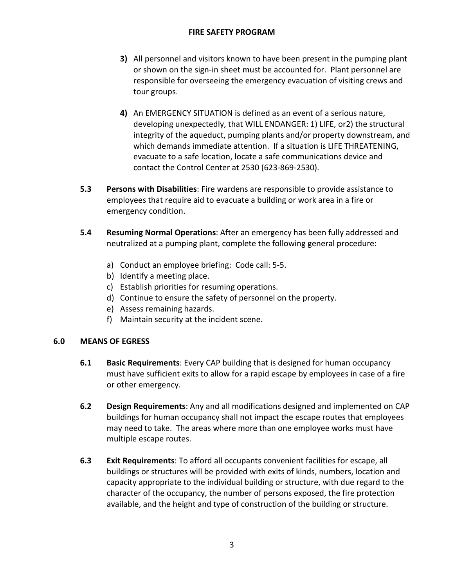- **3)** All personnel and visitors known to have been present in the pumping plant or shown on the sign-in sheet must be accounted for. Plant personnel are responsible for overseeing the emergency evacuation of visiting crews and tour groups.
- **4)** An EMERGENCY SITUATION is defined as an event of a serious nature, developing unexpectedly, that WILL ENDANGER: 1) LIFE, or2) the structural integrity of the aqueduct, pumping plants and/or property downstream, and which demands immediate attention. If a situation is LIFE THREATENING, evacuate to a safe location, locate a safe communications device and contact the Control Center at 2530 (623-869-2530).
- **5.3 Persons with Disabilities**: Fire wardens are responsible to provide assistance to employees that require aid to evacuate a building or work area in a fire or emergency condition.
- **5.4 Resuming Normal Operations**: After an emergency has been fully addressed and neutralized at a pumping plant, complete the following general procedure:
	- a) Conduct an employee briefing: Code call: 5-5.
	- b) Identify a meeting place.
	- c) Establish priorities for resuming operations.
	- d) Continue to ensure the safety of personnel on the property.
	- e) Assess remaining hazards.
	- f) Maintain security at the incident scene.

#### **6.0 MEANS OF EGRESS**

- **6.1 Basic Requirements**: Every CAP building that is designed for human occupancy must have sufficient exits to allow for a rapid escape by employees in case of a fire or other emergency.
- **6.2 Design Requirements**: Any and all modifications designed and implemented on CAP buildings for human occupancy shall not impact the escape routes that employees may need to take. The areas where more than one employee works must have multiple escape routes.
- **6.3 Exit Requirements**: To afford all occupants convenient facilities for escape, all buildings or structures will be provided with exits of kinds, numbers, location and capacity appropriate to the individual building or structure, with due regard to the character of the occupancy, the number of persons exposed, the fire protection available, and the height and type of construction of the building or structure.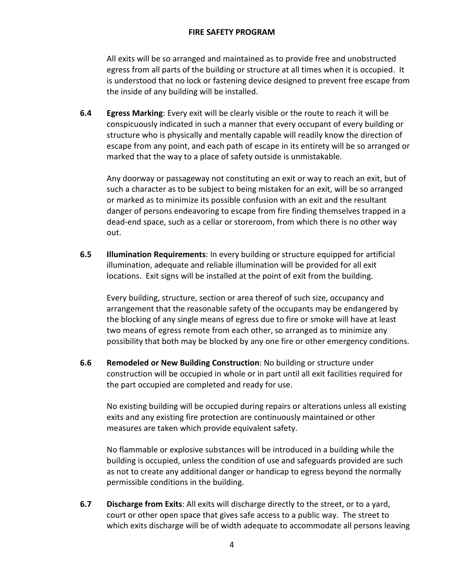All exits will be so arranged and maintained as to provide free and unobstructed egress from all parts of the building or structure at all times when it is occupied. It is understood that no lock or fastening device designed to prevent free escape from the inside of any building will be installed.

**6.4 Egress Marking**: Every exit will be clearly visible or the route to reach it will be conspicuously indicated in such a manner that every occupant of every building or structure who is physically and mentally capable will readily know the direction of escape from any point, and each path of escape in its entirety will be so arranged or marked that the way to a place of safety outside is unmistakable.

Any doorway or passageway not constituting an exit or way to reach an exit, but of such a character as to be subject to being mistaken for an exit, will be so arranged or marked as to minimize its possible confusion with an exit and the resultant danger of persons endeavoring to escape from fire finding themselves trapped in a dead-end space, such as a cellar or storeroom, from which there is no other way out.

**6.5 Illumination Requirements**: In every building or structure equipped for artificial illumination, adequate and reliable illumination will be provided for all exit locations. Exit signs will be installed at the point of exit from the building.

Every building, structure, section or area thereof of such size, occupancy and arrangement that the reasonable safety of the occupants may be endangered by the blocking of any single means of egress due to fire or smoke will have at least two means of egress remote from each other, so arranged as to minimize any possibility that both may be blocked by any one fire or other emergency conditions.

**6.6 Remodeled or New Building Construction**: No building or structure under construction will be occupied in whole or in part until all exit facilities required for the part occupied are completed and ready for use.

No existing building will be occupied during repairs or alterations unless all existing exits and any existing fire protection are continuously maintained or other measures are taken which provide equivalent safety.

No flammable or explosive substances will be introduced in a building while the building is occupied, unless the condition of use and safeguards provided are such as not to create any additional danger or handicap to egress beyond the normally permissible conditions in the building.

**6.7 Discharge from Exits**: All exits will discharge directly to the street, or to a yard, court or other open space that gives safe access to a public way. The street to which exits discharge will be of width adequate to accommodate all persons leaving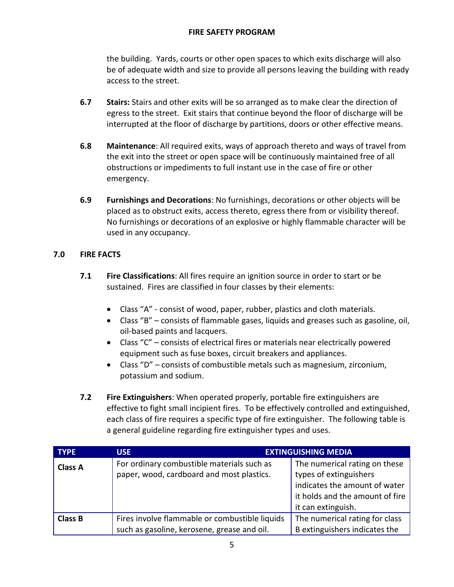the building. Yards, courts or other open spaces to which exits discharge will also be of adequate width and size to provide all persons leaving the building with ready access to the street.

- **6.7 Stairs:** Stairs and other exits will be so arranged as to make clear the direction of egress to the street. Exit stairs that continue beyond the floor of discharge will be interrupted at the floor of discharge by partitions, doors or other effective means.
- **6.8 Maintenance**: All required exits, ways of approach thereto and ways of travel from the exit into the street or open space will be continuously maintained free of all obstructions or impediments to full instant use in the case of fire or other emergency.
- **6.9 Furnishings and Decorations**: No furnishings, decorations or other objects will be placed as to obstruct exits, access thereto, egress there from or visibility thereof. No furnishings or decorations of an explosive or highly flammable character will be used in any occupancy.

## **7.0 FIRE FACTS**

- **7.1 Fire Classifications**: All fires require an ignition source in order to start or be sustained. Fires are classified in four classes by their elements:
	- Class "A" consist of wood, paper, rubber, plastics and cloth materials.
	- Class "B" consists of flammable gases, liquids and greases such as gasoline, oil, oil-based paints and lacquers.
	- Class "C" consists of electrical fires or materials near electrically powered equipment such as fuse boxes, circuit breakers and appliances.
	- Class "D" consists of combustible metals such as magnesium, zirconium, potassium and sodium.
- **7.2 Fire Extinguishers**: When operated properly, portable fire extinguishers are effective to fight small incipient fires. To be effectively controlled and extinguished, each class of fire requires a specific type of fire extinguisher. The following table is a general guideline regarding fire extinguisher types and uses.

| <b>TYPE</b>    | <b>USE</b>                                                                                    | <b>EXTINGUISHING MEDIA</b>                                                                                                                        |
|----------------|-----------------------------------------------------------------------------------------------|---------------------------------------------------------------------------------------------------------------------------------------------------|
| <b>Class A</b> | For ordinary combustible materials such as<br>paper, wood, cardboard and most plastics.       | The numerical rating on these<br>types of extinguishers<br>indicates the amount of water<br>it holds and the amount of fire<br>it can extinguish. |
| <b>Class B</b> | Fires involve flammable or combustible liquids<br>such as gasoline, kerosene, grease and oil. | The numerical rating for class<br>B extinguishers indicates the                                                                                   |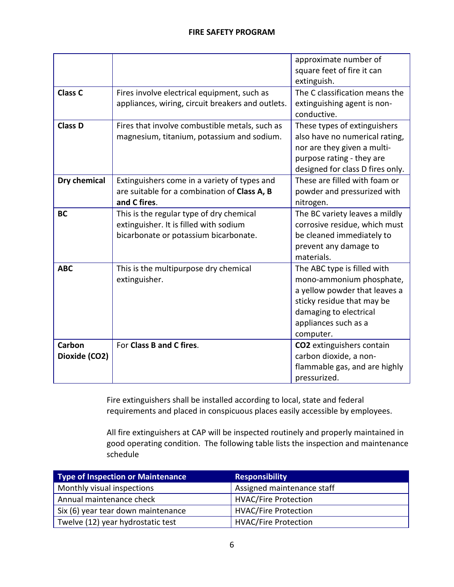|                         |                                                                                                                             | approximate number of<br>square feet of fire it can<br>extinguish.                                                                                                                    |
|-------------------------|-----------------------------------------------------------------------------------------------------------------------------|---------------------------------------------------------------------------------------------------------------------------------------------------------------------------------------|
| Class <sub>C</sub>      | Fires involve electrical equipment, such as<br>appliances, wiring, circuit breakers and outlets.                            | The C classification means the<br>extinguishing agent is non-<br>conductive.                                                                                                          |
| <b>Class D</b>          | Fires that involve combustible metals, such as<br>magnesium, titanium, potassium and sodium.                                | These types of extinguishers<br>also have no numerical rating,<br>nor are they given a multi-<br>purpose rating - they are<br>designed for class D fires only.                        |
| Dry chemical            | Extinguishers come in a variety of types and<br>are suitable for a combination of Class A, B<br>and C fires.                | These are filled with foam or<br>powder and pressurized with<br>nitrogen.                                                                                                             |
| <b>BC</b>               | This is the regular type of dry chemical<br>extinguisher. It is filled with sodium<br>bicarbonate or potassium bicarbonate. | The BC variety leaves a mildly<br>corrosive residue, which must<br>be cleaned immediately to<br>prevent any damage to<br>materials.                                                   |
| <b>ABC</b>              | This is the multipurpose dry chemical<br>extinguisher.                                                                      | The ABC type is filled with<br>mono-ammonium phosphate,<br>a yellow powder that leaves a<br>sticky residue that may be<br>damaging to electrical<br>appliances such as a<br>computer. |
| Carbon<br>Dioxide (CO2) | For Class B and C fires.                                                                                                    | CO2 extinguishers contain<br>carbon dioxide, a non-<br>flammable gas, and are highly<br>pressurized.                                                                                  |

Fire extinguishers shall be installed according to local, state and federal requirements and placed in conspicuous places easily accessible by employees.

All fire extinguishers at CAP will be inspected routinely and properly maintained in good operating condition. The following table lists the inspection and maintenance schedule

| Type of Inspection or Maintenance  | <b>Responsibility</b>       |  |
|------------------------------------|-----------------------------|--|
| Monthly visual inspections         | Assigned maintenance staff  |  |
| Annual maintenance check           | <b>HVAC/Fire Protection</b> |  |
| Six (6) year tear down maintenance | <b>HVAC/Fire Protection</b> |  |
| Twelve (12) year hydrostatic test  | <b>HVAC/Fire Protection</b> |  |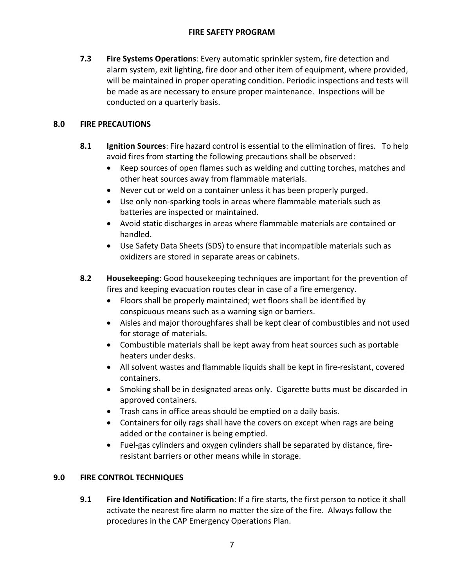**7.3 Fire Systems Operations**: Every automatic sprinkler system, fire detection and alarm system, exit lighting, fire door and other item of equipment, where provided, will be maintained in proper operating condition. Periodic inspections and tests will be made as are necessary to ensure proper maintenance. Inspections will be conducted on a quarterly basis.

# **8.0 FIRE PRECAUTIONS**

- **8.1 Ignition Sources**: Fire hazard control is essential to the elimination of fires. To help avoid fires from starting the following precautions shall be observed:
	- Keep sources of open flames such as welding and cutting torches, matches and other heat sources away from flammable materials.
	- Never cut or weld on a container unless it has been properly purged.
	- Use only non-sparking tools in areas where flammable materials such as batteries are inspected or maintained.
	- Avoid static discharges in areas where flammable materials are contained or handled.
	- Use Safety Data Sheets (SDS) to ensure that incompatible materials such as oxidizers are stored in separate areas or cabinets.
- **8.2 Housekeeping**: Good housekeeping techniques are important for the prevention of fires and keeping evacuation routes clear in case of a fire emergency.
	- Floors shall be properly maintained; wet floors shall be identified by conspicuous means such as a warning sign or barriers.
	- Aisles and major thoroughfares shall be kept clear of combustibles and not used for storage of materials.
	- Combustible materials shall be kept away from heat sources such as portable heaters under desks.
	- All solvent wastes and flammable liquids shall be kept in fire-resistant, covered containers.
	- Smoking shall be in designated areas only. Cigarette butts must be discarded in approved containers.
	- Trash cans in office areas should be emptied on a daily basis.
	- Containers for oily rags shall have the covers on except when rags are being added or the container is being emptied.
	- Fuel-gas cylinders and oxygen cylinders shall be separated by distance, fireresistant barriers or other means while in storage.

# **9.0 FIRE CONTROL TECHNIQUES**

**9.1 Fire Identification and Notification**: If a fire starts, the first person to notice it shall activate the nearest fire alarm no matter the size of the fire. Always follow the procedures in the CAP Emergency Operations Plan.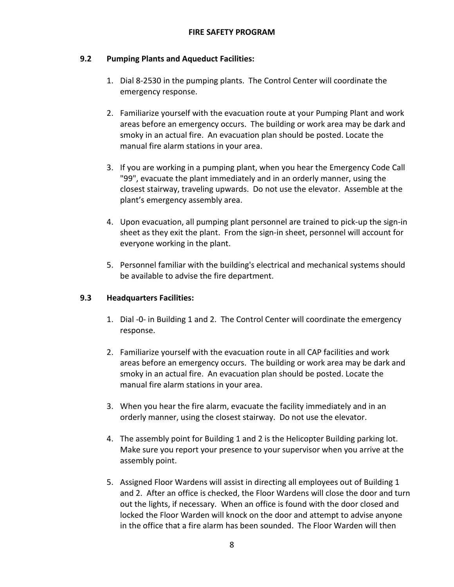### **9.2 Pumping Plants and Aqueduct Facilities:**

- 1. Dial 8-2530 in the pumping plants. The Control Center will coordinate the emergency response.
- 2. Familiarize yourself with the evacuation route at your Pumping Plant and work areas before an emergency occurs. The building or work area may be dark and smoky in an actual fire. An evacuation plan should be posted. Locate the manual fire alarm stations in your area.
- 3. If you are working in a pumping plant, when you hear the Emergency Code Call "99", evacuate the plant immediately and in an orderly manner, using the closest stairway, traveling upwards. Do not use the elevator. Assemble at the plant's emergency assembly area.
- 4. Upon evacuation, all pumping plant personnel are trained to pick-up the sign-in sheet as they exit the plant. From the sign-in sheet, personnel will account for everyone working in the plant.
- 5. Personnel familiar with the building's electrical and mechanical systems should be available to advise the fire department.

#### **9.3 Headquarters Facilities:**

- 1. Dial -0- in Building 1 and 2. The Control Center will coordinate the emergency response.
- 2. Familiarize yourself with the evacuation route in all CAP facilities and work areas before an emergency occurs. The building or work area may be dark and smoky in an actual fire. An evacuation plan should be posted. Locate the manual fire alarm stations in your area.
- 3. When you hear the fire alarm, evacuate the facility immediately and in an orderly manner, using the closest stairway. Do not use the elevator.
- 4. The assembly point for Building 1 and 2 is the Helicopter Building parking lot. Make sure you report your presence to your supervisor when you arrive at the assembly point.
- 5. Assigned Floor Wardens will assist in directing all employees out of Building 1 and 2. After an office is checked, the Floor Wardens will close the door and turn out the lights, if necessary. When an office is found with the door closed and locked the Floor Warden will knock on the door and attempt to advise anyone in the office that a fire alarm has been sounded. The Floor Warden will then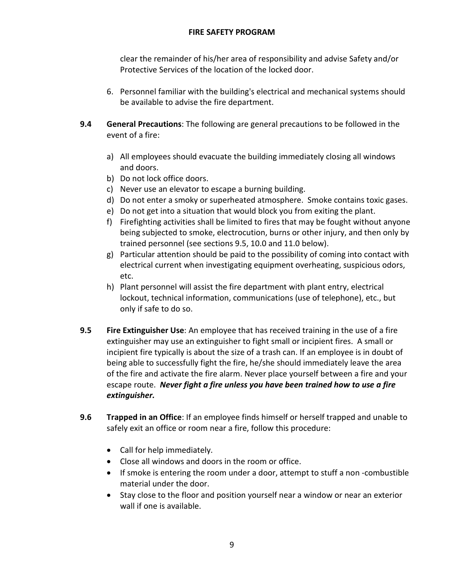clear the remainder of his/her area of responsibility and advise Safety and/or Protective Services of the location of the locked door.

- 6. Personnel familiar with the building's electrical and mechanical systems should be available to advise the fire department.
- **9.4 General Precautions**: The following are general precautions to be followed in the event of a fire:
	- a) All employees should evacuate the building immediately closing all windows and doors.
	- b) Do not lock office doors.
	- c) Never use an elevator to escape a burning building.
	- d) Do not enter a smoky or superheated atmosphere. Smoke contains toxic gases.
	- e) Do not get into a situation that would block you from exiting the plant.
	- f) Firefighting activities shall be limited to fires that may be fought without anyone being subjected to smoke, electrocution, burns or other injury, and then only by trained personnel (see sections 9.5, 10.0 and 11.0 below).
	- g) Particular attention should be paid to the possibility of coming into contact with electrical current when investigating equipment overheating, suspicious odors, etc.
	- h) Plant personnel will assist the fire department with plant entry, electrical lockout, technical information, communications (use of telephone), etc., but only if safe to do so.
- **9.5 Fire Extinguisher Use**: An employee that has received training in the use of a fire extinguisher may use an extinguisher to fight small or incipient fires. A small or incipient fire typically is about the size of a trash can. If an employee is in doubt of being able to successfully fight the fire, he/she should immediately leave the area of the fire and activate the fire alarm. Never place yourself between a fire and your escape route. *Never fight a fire unless you have been trained how to use a fire extinguisher.*
- **9.6 Trapped in an Office**: If an employee finds himself or herself trapped and unable to safely exit an office or room near a fire, follow this procedure:
	- Call for help immediately.
	- Close all windows and doors in the room or office.
	- If smoke is entering the room under a door, attempt to stuff a non -combustible material under the door.
	- Stay close to the floor and position yourself near a window or near an exterior wall if one is available.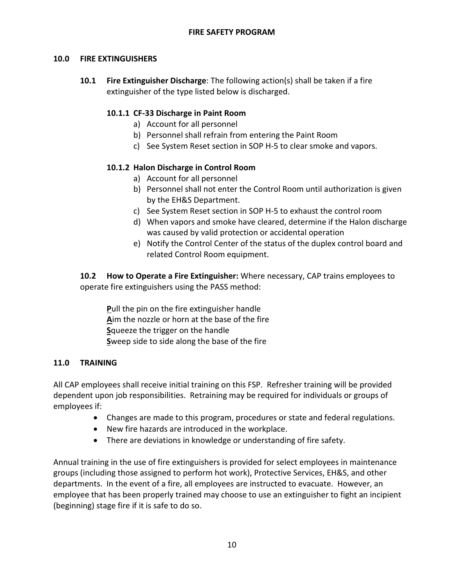## **10.0 FIRE EXTINGUISHERS**

**10.1 Fire Extinguisher Discharge**: The following action(s) shall be taken if a fire extinguisher of the type listed below is discharged.

## **10.1.1 CF-33 Discharge in Paint Room**

- a) Account for all personnel
- b) Personnel shall refrain from entering the Paint Room
- c) See System Reset section in SOP H-5 to clear smoke and vapors.

## **10.1.2 Halon Discharge in Control Room**

- a) Account for all personnel
- b) Personnel shall not enter the Control Room until authorization is given by the EH&S Department.
- c) See System Reset section in SOP H-5 to exhaust the control room
- d) When vapors and smoke have cleared, determine if the Halon discharge was caused by valid protection or accidental operation
- e) Notify the Control Center of the status of the duplex control board and related Control Room equipment.

**10.2 How to Operate a Fire Extinguisher:** Where necessary, CAP trains employees to operate fire extinguishers using the PASS method:

**P**ull the pin on the fire extinguisher handle **A**im the nozzle or horn at the base of the fire **S**queeze the trigger on the handle **S**weep side to side along the base of the fire

#### **11.0 TRAINING**

All CAP employees shall receive initial training on this FSP. Refresher training will be provided dependent upon job responsibilities. Retraining may be required for individuals or groups of employees if:

- Changes are made to this program, procedures or state and federal regulations.
- New fire hazards are introduced in the workplace.
- There are deviations in knowledge or understanding of fire safety.

Annual training in the use of fire extinguishers is provided for select employees in maintenance groups (including those assigned to perform hot work), Protective Services, EH&S, and other departments. In the event of a fire, all employees are instructed to evacuate. However, an employee that has been properly trained may choose to use an extinguisher to fight an incipient (beginning) stage fire if it is safe to do so.